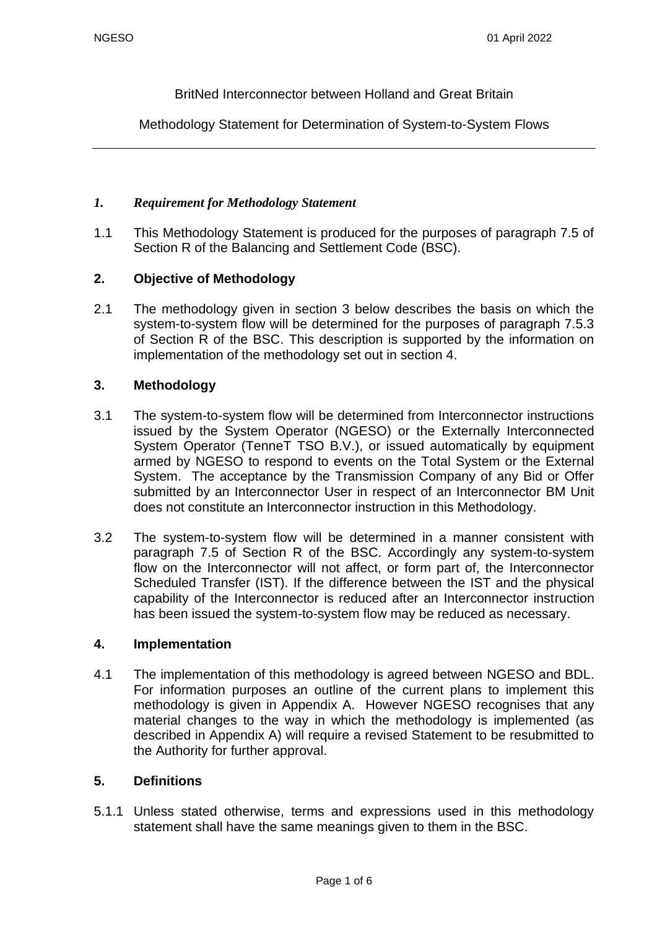BritNed Interconnector between Holland and Great Britain

Methodology Statement for Determination of System-to-System Flows

#### *1. Requirement for Methodology Statement*

1.1 This Methodology Statement is produced for the purposes of paragraph 7.5 of Section R of the Balancing and Settlement Code (BSC).

## **2. Objective of Methodology**

2.1 The methodology given in section 3 below describes the basis on which the system-to-system flow will be determined for the purposes of paragraph 7.5.3 of Section R of the BSC. This description is supported by the information on implementation of the methodology set out in section 4.

#### **3. Methodology**

- 3.1 The system-to-system flow will be determined from Interconnector instructions issued by the System Operator (NGESO) or the Externally Interconnected System Operator (TenneT TSO B.V.), or issued automatically by equipment armed by NGESO to respond to events on the Total System or the External System. The acceptance by the Transmission Company of any Bid or Offer submitted by an Interconnector User in respect of an Interconnector BM Unit does not constitute an Interconnector instruction in this Methodology.
- 3.2 The system-to-system flow will be determined in a manner consistent with paragraph 7.5 of Section R of the BSC. Accordingly any system-to-system flow on the Interconnector will not affect, or form part of, the Interconnector Scheduled Transfer (IST). If the difference between the IST and the physical capability of the Interconnector is reduced after an Interconnector instruction has been issued the system-to-system flow may be reduced as necessary.

#### **4. Implementation**

4.1 The implementation of this methodology is agreed between NGESO and BDL. For information purposes an outline of the current plans to implement this methodology is given in Appendix A. However NGESO recognises that any material changes to the way in which the methodology is implemented (as described in Appendix A) will require a revised Statement to be resubmitted to the Authority for further approval.

#### **5. Definitions**

5.1.1 Unless stated otherwise, terms and expressions used in this methodology statement shall have the same meanings given to them in the BSC.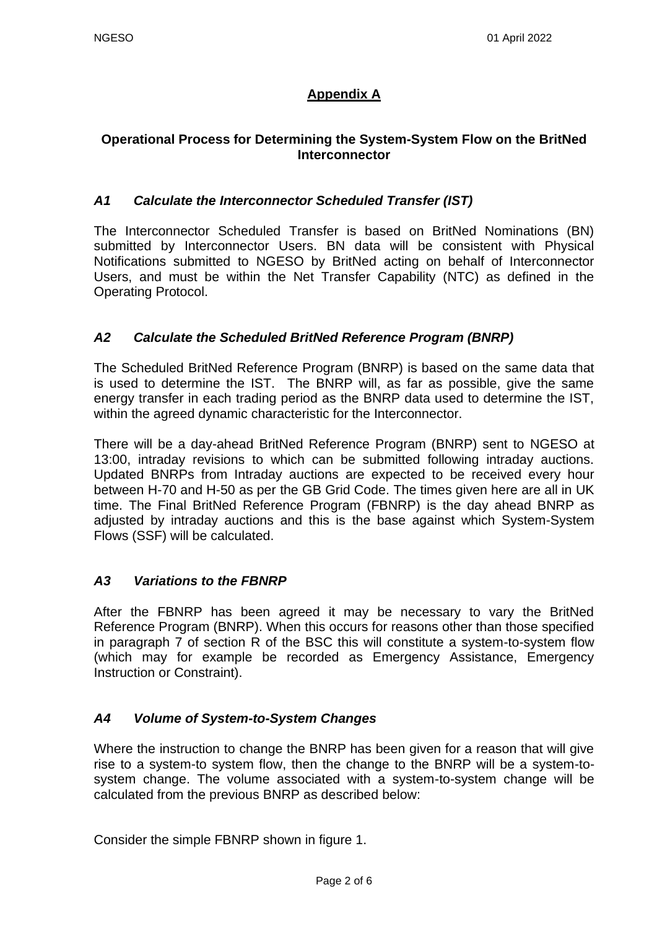# **Appendix A**

## **Operational Process for Determining the System-System Flow on the BritNed Interconnector**

## *A1 Calculate the Interconnector Scheduled Transfer (IST)*

The Interconnector Scheduled Transfer is based on BritNed Nominations (BN) submitted by Interconnector Users. BN data will be consistent with Physical Notifications submitted to NGESO by BritNed acting on behalf of Interconnector Users, and must be within the Net Transfer Capability (NTC) as defined in the Operating Protocol.

## *A2 Calculate the Scheduled BritNed Reference Program (BNRP)*

The Scheduled BritNed Reference Program (BNRP) is based on the same data that is used to determine the IST. The BNRP will, as far as possible, give the same energy transfer in each trading period as the BNRP data used to determine the IST, within the agreed dynamic characteristic for the Interconnector.

There will be a day-ahead BritNed Reference Program (BNRP) sent to NGESO at 13:00, intraday revisions to which can be submitted following intraday auctions. Updated BNRPs from Intraday auctions are expected to be received every hour between H-70 and H-50 as per the GB Grid Code. The times given here are all in UK time. The Final BritNed Reference Program (FBNRP) is the day ahead BNRP as adjusted by intraday auctions and this is the base against which System-System Flows (SSF) will be calculated.

## *A3 Variations to the FBNRP*

After the FBNRP has been agreed it may be necessary to vary the BritNed Reference Program (BNRP). When this occurs for reasons other than those specified in paragraph 7 of section R of the BSC this will constitute a system-to-system flow (which may for example be recorded as Emergency Assistance, Emergency Instruction or Constraint).

## *A4 Volume of System-to-System Changes*

Where the instruction to change the BNRP has been given for a reason that will give rise to a system-to system flow, then the change to the BNRP will be a system-tosystem change. The volume associated with a system-to-system change will be calculated from the previous BNRP as described below:

Consider the simple FBNRP shown in figure 1.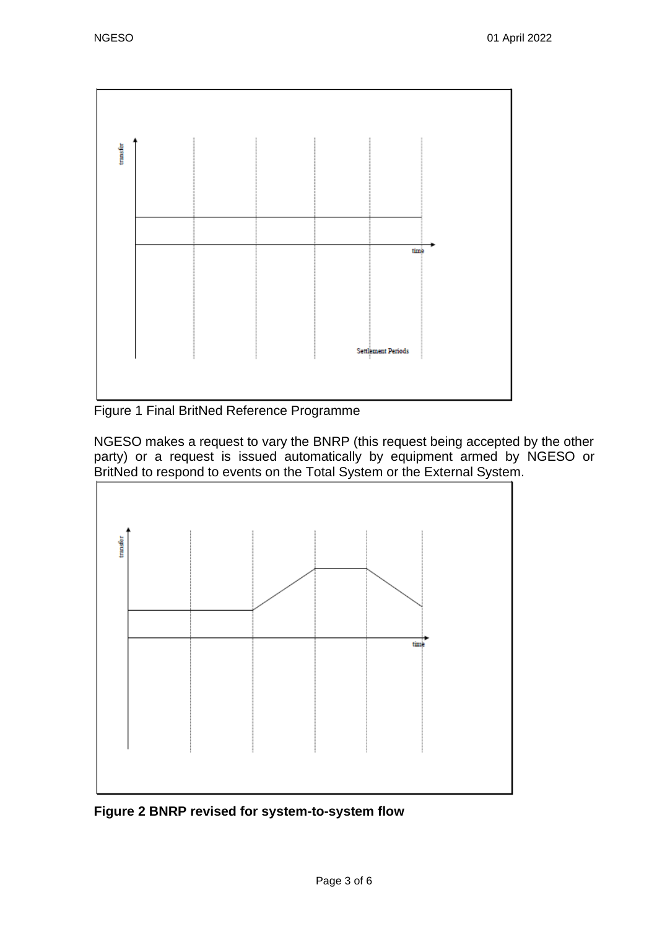

Figure 1 Final BritNed Reference Programme

NGESO makes a request to vary the BNRP (this request being accepted by the other party) or a request is issued automatically by equipment armed by NGESO or BritNed to respond to events on the Total System or the External System.



**Figure 2 BNRP revised for system-to-system flow**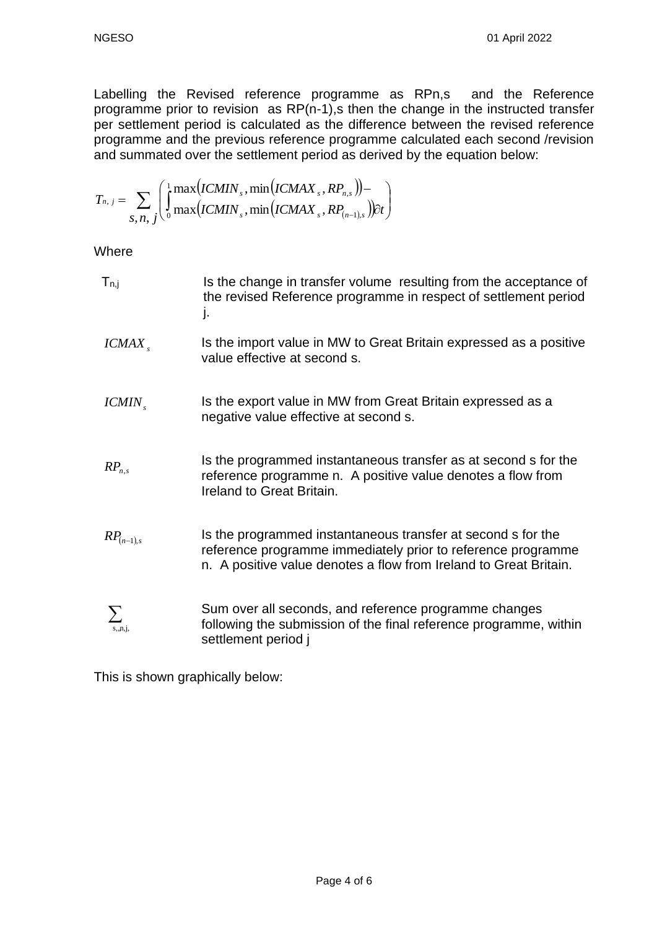Labelling the Revised reference programme as RPn,s and the Reference programme prior to revision as RP(n-1),s then the change in the instructed transfer per settlement period is calculated as the difference between the revised reference programme and the previous reference programme calculated each second /revision and summated over the settlement period as derived by the equation below:

$$
T_{n, j} = \sum_{S, n, j} \left( \int_0^1 \max(lCMIN_s, \min(lCMAX_s, RP_{n,s})) - \int_{S, n, j} \int_0^1 \max(lCMIN_s, \min(lCMAX_s, RP_{(n-1),s})) dt \right)
$$

**Where** 

| ${\sf T}_{\sf n,j}$ | Is the change in transfer volume resulting from the acceptance of<br>the revised Reference programme in respect of settlement period<br>ı.                                                        |
|---------------------|---------------------------------------------------------------------------------------------------------------------------------------------------------------------------------------------------|
| ICMAX               | Is the import value in MW to Great Britain expressed as a positive<br>value effective at second s.                                                                                                |
| $ICMIN_{s}$         | Is the export value in MW from Great Britain expressed as a<br>negative value effective at second s.                                                                                              |
| $RP_{n,s}$          | Is the programmed instantaneous transfer as at second s for the<br>reference programme n. A positive value denotes a flow from<br>Ireland to Great Britain.                                       |
| $RP_{(n-1),s}$      | Is the programmed instantaneous transfer at second s for the<br>reference programme immediately prior to reference programme<br>n. A positive value denotes a flow from Ireland to Great Britain. |
| $\sum$<br>s, n, j,  | Sum over all seconds, and reference programme changes<br>following the submission of the final reference programme, within<br>settlement period j                                                 |

This is shown graphically below: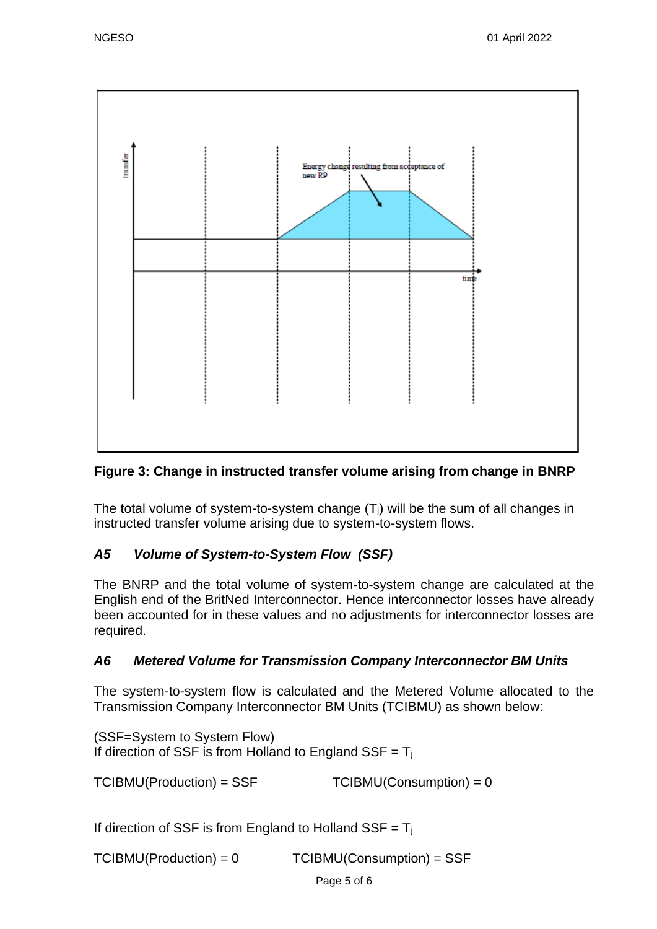

# **Figure 3: Change in instructed transfer volume arising from change in BNRP**

The total volume of system-to-system change  $(T<sub>i</sub>)$  will be the sum of all changes in instructed transfer volume arising due to system-to-system flows.

# *A5 Volume of System-to-System Flow (SSF)*

The BNRP and the total volume of system-to-system change are calculated at the English end of the BritNed Interconnector. Hence interconnector losses have already been accounted for in these values and no adjustments for interconnector losses are required.

## *A6 Metered Volume for Transmission Company Interconnector BM Units*

The system-to-system flow is calculated and the Metered Volume allocated to the Transmission Company Interconnector BM Units (TCIBMU) as shown below:

(SSF=System to System Flow) If direction of SSF is from Holland to England SSF =  $T_i$ 

 $TCIBMU(Production) = SSF$   $TCIBMU(Construction) = 0$ 

If direction of SSF is from England to Holland SSF =  $T_i$ 

TCIBMU(Production) = 0 TCIBMU(Consumption) = SSF